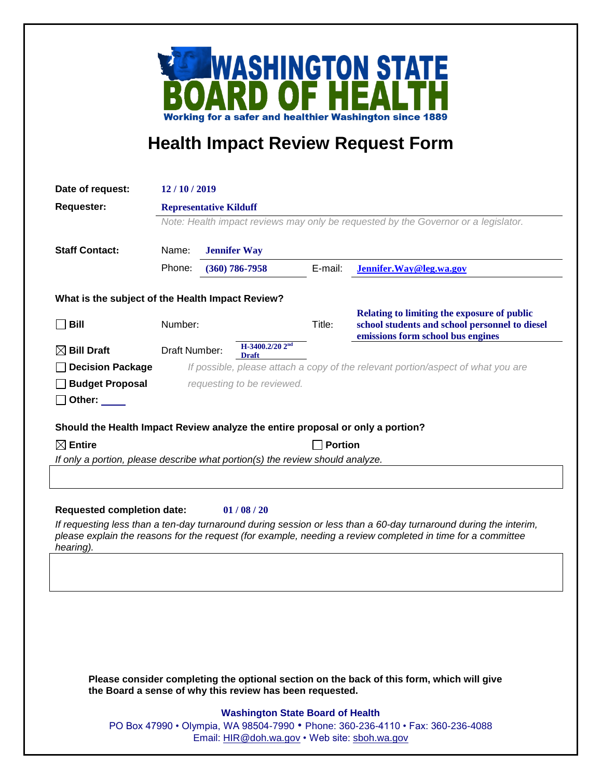

## **Health Impact Review Request Form**

| Date of request:                                                                                                                                                                                                                                                                           | 12/10/2019                                                                                                                       |                    |                                         |         |                                                                                     |
|--------------------------------------------------------------------------------------------------------------------------------------------------------------------------------------------------------------------------------------------------------------------------------------------|----------------------------------------------------------------------------------------------------------------------------------|--------------------|-----------------------------------------|---------|-------------------------------------------------------------------------------------|
| <b>Requester:</b>                                                                                                                                                                                                                                                                          | <b>Representative Kilduff</b><br>Note: Health impact reviews may only be requested by the Governor or a legislator.              |                    |                                         |         |                                                                                     |
|                                                                                                                                                                                                                                                                                            |                                                                                                                                  |                    |                                         |         |                                                                                     |
| <b>Staff Contact:</b>                                                                                                                                                                                                                                                                      | Name:<br><b>Jennifer Way</b>                                                                                                     |                    |                                         |         |                                                                                     |
|                                                                                                                                                                                                                                                                                            | Phone:                                                                                                                           | $(360) 786 - 7958$ |                                         | E-mail: | Jennifer. Way@leg.wa.gov                                                            |
| What is the subject of the Health Impact Review?                                                                                                                                                                                                                                           |                                                                                                                                  |                    |                                         |         |                                                                                     |
|                                                                                                                                                                                                                                                                                            |                                                                                                                                  |                    |                                         |         | Relating to limiting the exposure of public                                         |
| Bill                                                                                                                                                                                                                                                                                       | Number:                                                                                                                          |                    |                                         | Title:  | school students and school personnel to diesel<br>emissions form school bus engines |
| $\boxtimes$ Bill Draft                                                                                                                                                                                                                                                                     | Draft Number:                                                                                                                    | <b>Draft</b>       | H-3400.2/20 2 <sup>nd</sup>             |         |                                                                                     |
| <b>Decision Package</b>                                                                                                                                                                                                                                                                    | If possible, please attach a copy of the relevant portion/aspect of what you are                                                 |                    |                                         |         |                                                                                     |
| <b>Budget Proposal</b>                                                                                                                                                                                                                                                                     | requesting to be reviewed.                                                                                                       |                    |                                         |         |                                                                                     |
| Other: $\_\_$                                                                                                                                                                                                                                                                              |                                                                                                                                  |                    |                                         |         |                                                                                     |
| $\boxtimes$ Entire<br><b>Portion</b><br>If only a portion, please describe what portion(s) the review should analyze.<br><b>Requested completion date:</b><br>01/08/20<br>If requesting less than a ten-day turnaround during session or less than a 60-day turnaround during the interim, |                                                                                                                                  |                    |                                         |         |                                                                                     |
| please explain the reasons for the request (for example, needing a review completed in time for a committee<br>hearing).                                                                                                                                                                   |                                                                                                                                  |                    |                                         |         |                                                                                     |
|                                                                                                                                                                                                                                                                                            |                                                                                                                                  |                    |                                         |         |                                                                                     |
|                                                                                                                                                                                                                                                                                            |                                                                                                                                  |                    |                                         |         |                                                                                     |
|                                                                                                                                                                                                                                                                                            |                                                                                                                                  |                    |                                         |         |                                                                                     |
| Please consider completing the optional section on the back of this form, which will give<br>the Board a sense of why this review has been requested.                                                                                                                                      |                                                                                                                                  |                    |                                         |         |                                                                                     |
|                                                                                                                                                                                                                                                                                            |                                                                                                                                  |                    | <b>Washington State Board of Health</b> |         |                                                                                     |
|                                                                                                                                                                                                                                                                                            | PO Box 47990 • Olympia, WA 98504-7990 • Phone: 360-236-4110 • Fax: 360-236-4088<br>Email: HIR@doh.wa.gov • Web site: sboh.wa.gov |                    |                                         |         |                                                                                     |